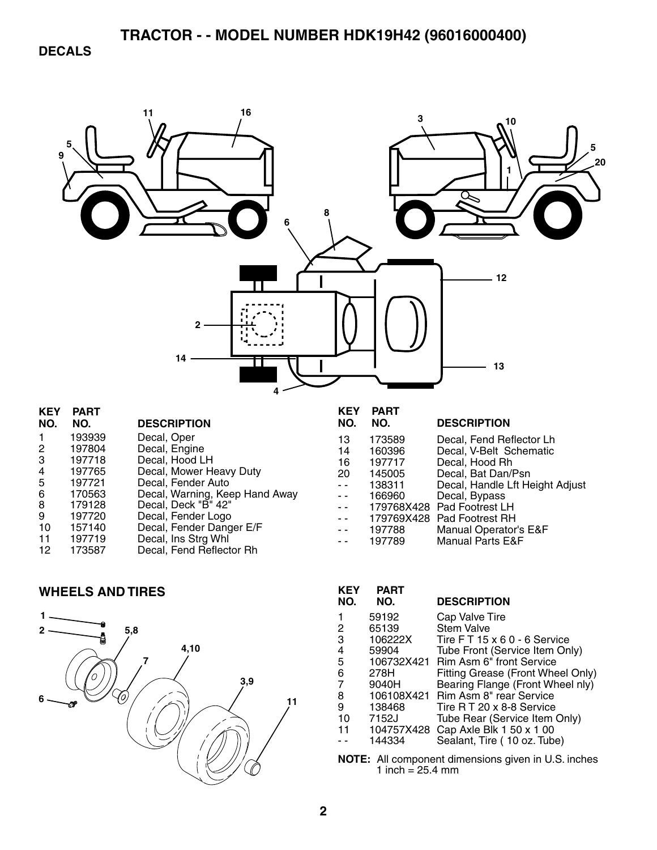**DECALS** 



- 6 170563 Decal, Warning, Keep Hand Away 8 179128 Decal, Deck "B" 42" 9 197720 Decal, Fender Logo<br>10 157140 Decal, Fender Dang
- 10 157140 Decal, Fender Danger E/F<br>11 197719 Decal, Ins Strg Whi
- 11 197719 Decal, Ins Strg Whl
- 12 173587 Decal, Fend Reflector Rh

#### **WHEELS AND TIRES**



| KEY<br>NO. | PART<br>NO. | <b>DESCRIPTION</b>                 |
|------------|-------------|------------------------------------|
|            | 59192       | Cap Valve Tire                     |
| 2          | 65139       | <b>Stem Valve</b>                  |
| 3          | 106222X     | Tire $FT 15 \times 60 - 6$ Service |
| 4          | 59904       | Tube Front (Service Item Only)     |
| 5          | 106732X421  | Rim Asm 6" front Service           |
| 6          | 278H        | Fitting Grease (Front Wheel Only)  |
| 7          | 9040H       | Bearing Flange (Front Wheel nly)   |
| 8          | 106108X421  | <b>Rim Asm 8" rear Service</b>     |
| 9          | 138468      | Tire R T 20 x 8-8 Service          |
| 10         | 7152J       | Tube Rear (Service Item Only)      |
| 11         | 104757X428  | Cap Axle Blk 1 50 x 1 00           |
|            | 144334      | Sealant, Tire (10 oz. Tube)        |

Manual Operator's E&F

- 179768X428 Pad Footrest LH<br>- - 179769X428 Pad Footrest RH - 179769X428 Pad Footrest RH<br>-- 197788 Manual Operator

- - 197789 Manual Parts E&F

**NOTE:** All component dimensions given in U.S. inches 1 inch =  $25.4 \, \text{mm}$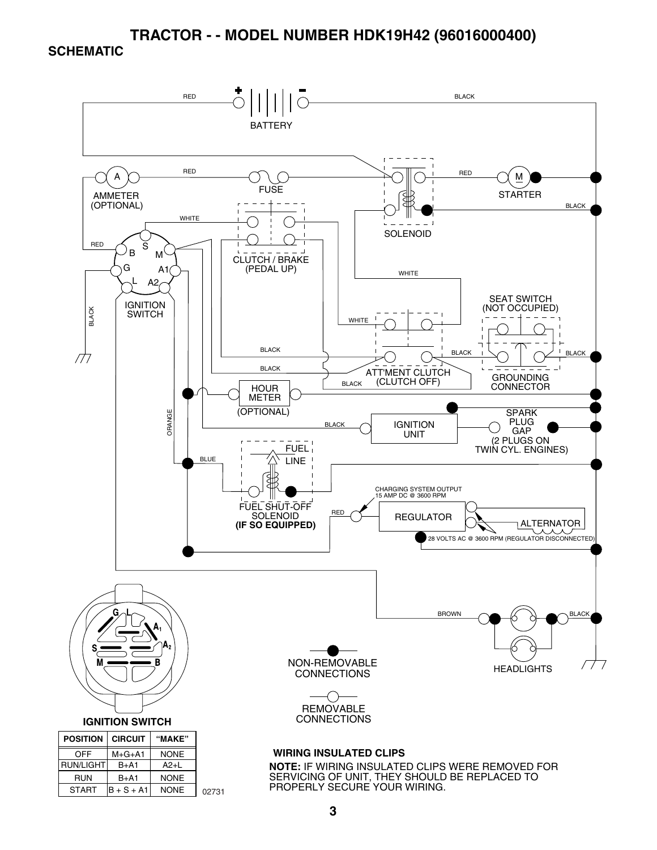#### **SCHEMATIC**

START  $\vert B + S + A1 \vert$ 

NONE

02731



SERVICING OF UNIT, THEY SHOULD BE REPLACED TO PROPERLY SECURE YOUR WIRING.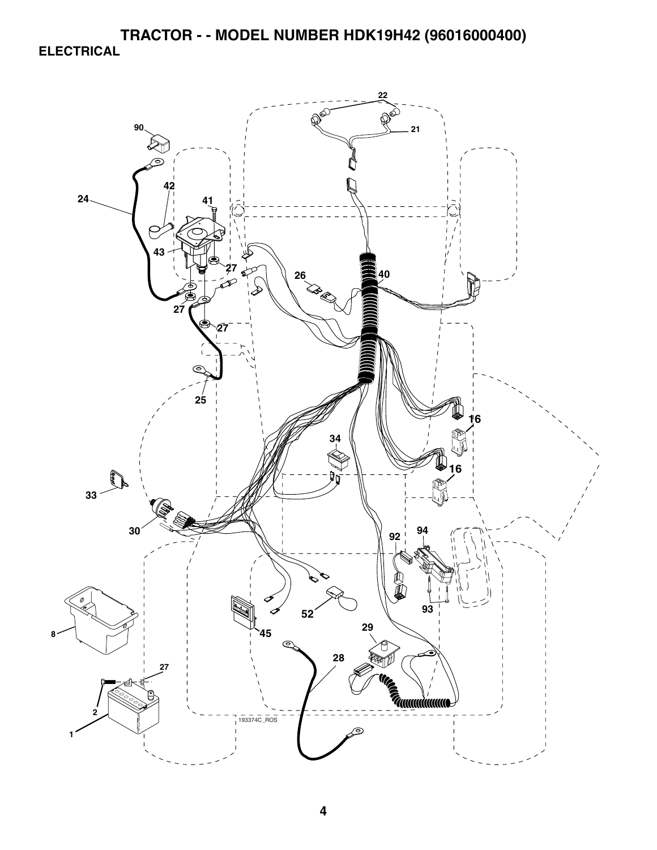**TRACTOR - - MODEL NUMBER HDK19H42 (96016000400) ELECTRICAL** 

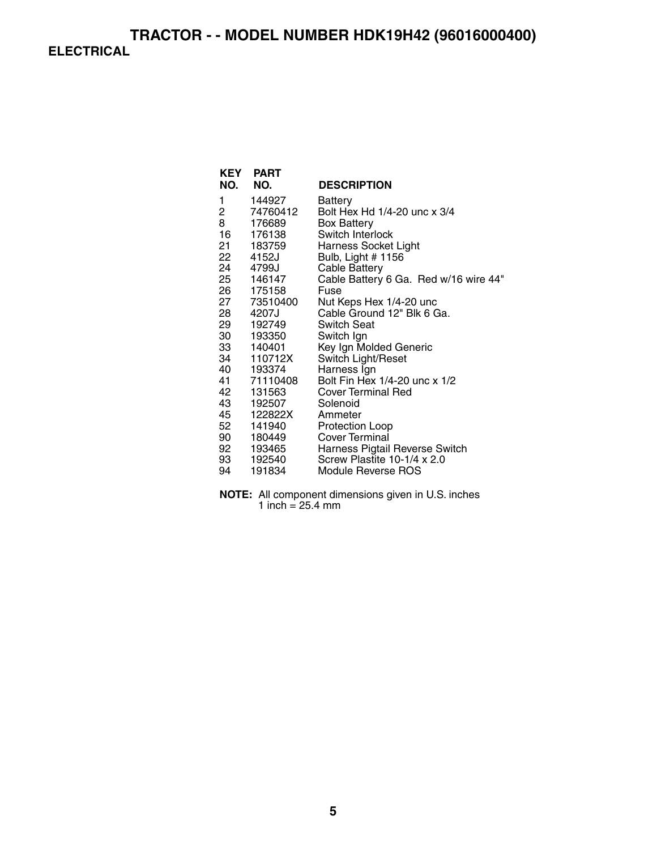| <b>KEY</b><br>NO. | <b>PART</b><br>NO. | <b>DESCRIPTION</b>                    |
|-------------------|--------------------|---------------------------------------|
| 1                 | 144927             | Battery                               |
| 2                 | 74760412           | Bolt Hex Hd 1/4-20 unc x 3/4          |
| 8                 | 176689             | <b>Box Battery</b>                    |
| 16                | 176138             | Switch Interlock                      |
|                   | 21 183759          | <b>Harness Socket Light</b>           |
| 22                | 4152J              | Bulb, Light # 1156                    |
|                   | 24 4799J           | <b>Cable Battery</b>                  |
|                   | 25 146147          | Cable Battery 6 Ga. Red w/16 wire 44" |
| 26                | 175158             | Fuse                                  |
|                   | 27 73510400        | Nut Keps Hex 1/4-20 unc               |
|                   | 28 4207J           | Cable Ground 12" Blk 6 Ga.            |
| 29                | 192749             | <b>Switch Seat</b>                    |
|                   | 30 193350          | Switch Ign                            |
|                   | 33 140401          | Key Ign Molded Generic                |
| 34                | 110712X            | Switch Light/Reset                    |
|                   | 40 193374          | Harness Ign                           |
|                   | 41 71110408        | Bolt Fin Hex 1/4-20 unc x 1/2         |
| 42                | 131563             | <b>Cover Terminal Red</b>             |
| 43                | 192507             | Solenoid                              |
|                   |                    | Ammeter                               |
| 52                | 141940             | Protection Loop                       |
|                   | 90 180449          | Cover Terminal                        |
|                   | 92 193465          | Harness Pigtail Reverse Switch        |
| 93                | 192540             | Screw Plastite 10-1/4 x 2.0           |
| 94                | 191834             | Module Reverse ROS                    |

**NOTE:** All component dimensions given in U.S. inches 1 inch  $= 25.4$  mm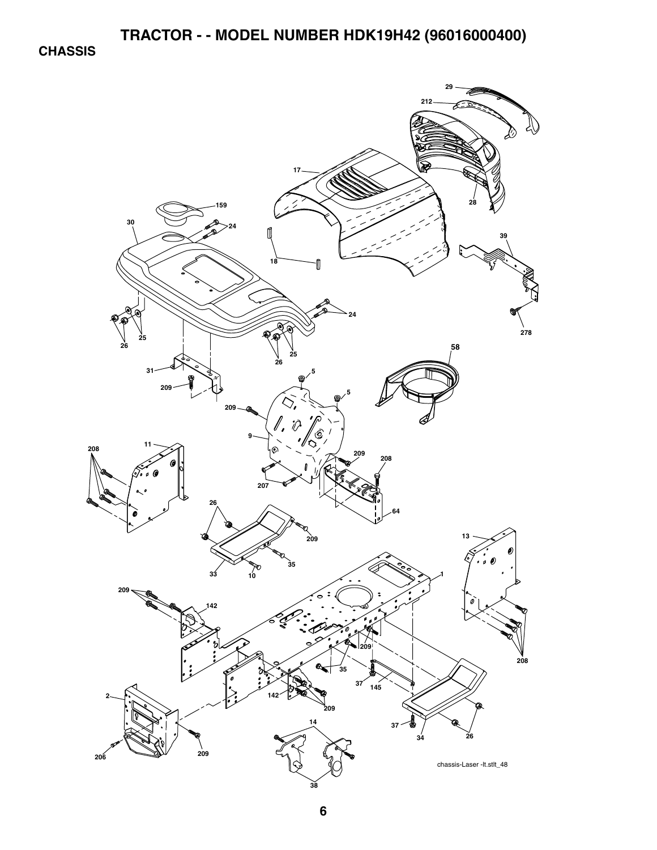**CHASSIS** 

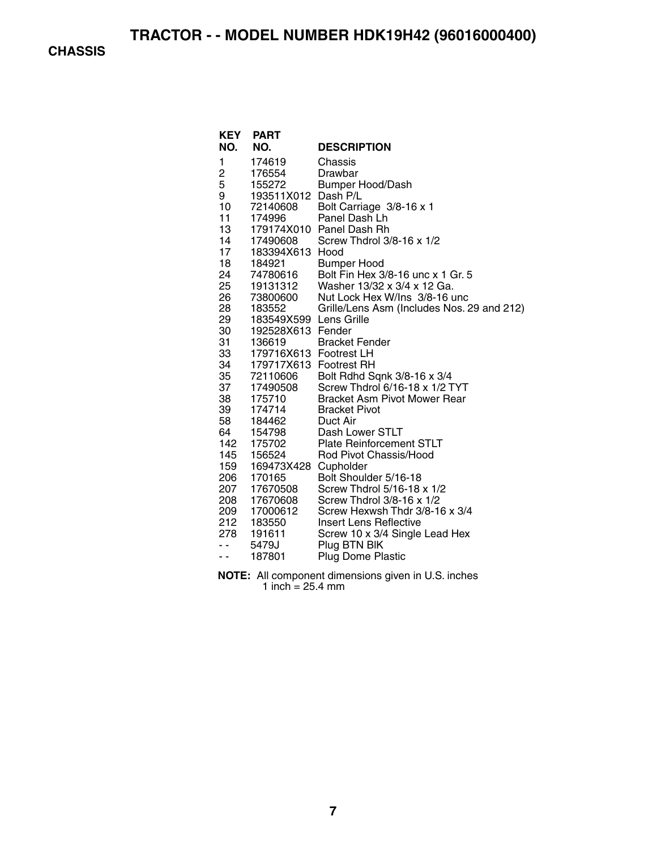**CHASSIS** 

| NO.        | <b>KEY PART</b><br>NO. | <b>DESCRIPTION</b>                                           |
|------------|------------------------|--------------------------------------------------------------|
|            |                        |                                                              |
| 1          | 174619                 | Chassis                                                      |
| 2          | 176554                 | Drawbar                                                      |
| 5          | 155272                 | <b>Bumper Hood/Dash</b>                                      |
| 9          | 193511X012 Dash P/L    |                                                              |
| 10         | 72140608               | Bolt Carriage 3/8-16 x 1                                     |
| 11         | 174996                 | Panel Dash Lh                                                |
| 13         |                        | 179174X010 Panel Dash Rh                                     |
| 14         | 17490608               | Screw Thdrol 3/8-16 x 1/2                                    |
| 17         | 183394X613 Hood        |                                                              |
| 18         | 184921                 | <b>Bumper Hood</b>                                           |
| 24         | 74780616               | Bolt Fin Hex 3/8-16 unc x 1 Gr. 5                            |
| 25<br>26   | 19131312               | Washer 13/32 x 3/4 x 12 Ga.<br>Nut Lock Hex W/Ins 3/8-16 unc |
| 28         | 73800600<br>183552     |                                                              |
| 29         | 183549X599 Lens Grille | Grille/Lens Asm (Includes Nos. 29 and 212)                   |
| 30         | 192528X613 Fender      |                                                              |
| 31         | 136619                 | <b>Bracket Fender</b>                                        |
| 33         | 179716X613 Footrest LH |                                                              |
| აა<br>34   | 179717X613 Footrest RH |                                                              |
| 35         | 72110606               | Bolt Rdhd Sqnk 3/8-16 x 3/4                                  |
| 37         | 17490508               | Screw Thdrol 6/16-18 x 1/2 TYT                               |
| 38         | 175710                 | <b>Bracket Asm Pivot Mower Rear</b>                          |
| 39         | 174714                 | <b>Bracket Pivot</b>                                         |
| 58         | 184462                 | Duct Air                                                     |
| 64         | 154798                 | Dash Lower STLT                                              |
| 142        | 175702                 | <b>Plate Reinforcement STLT</b>                              |
| 145        | 156524                 | Rod Pivot Chassis/Hood                                       |
| 159        | 169473X428 Cupholder   |                                                              |
| 206        | 170165                 | Bolt Shoulder 5/16-18                                        |
| 207        | 17670508               | Screw Thdrol 5/16-18 x 1/2                                   |
| – ,<br>208 | 17670608               | Screw Thdrol 3/8-16 x 1/2                                    |
| 209        | 17000612               | Screw Hexwsh Thdr 3/8-16 x 3/4                               |
|            | 212 183550             | Insert Lens Reflective                                       |
| 278        | 191611                 | Screw 10 x 3/4 Single Lead Hex                               |
| - -        | 5479J                  | Plug BTN BIK                                                 |
| - -        | 187801                 | <b>Plug Dome Plastic</b>                                     |

**NOTE:** All component dimensions given in U.S. inches 1 inch  $= 25.4$  mm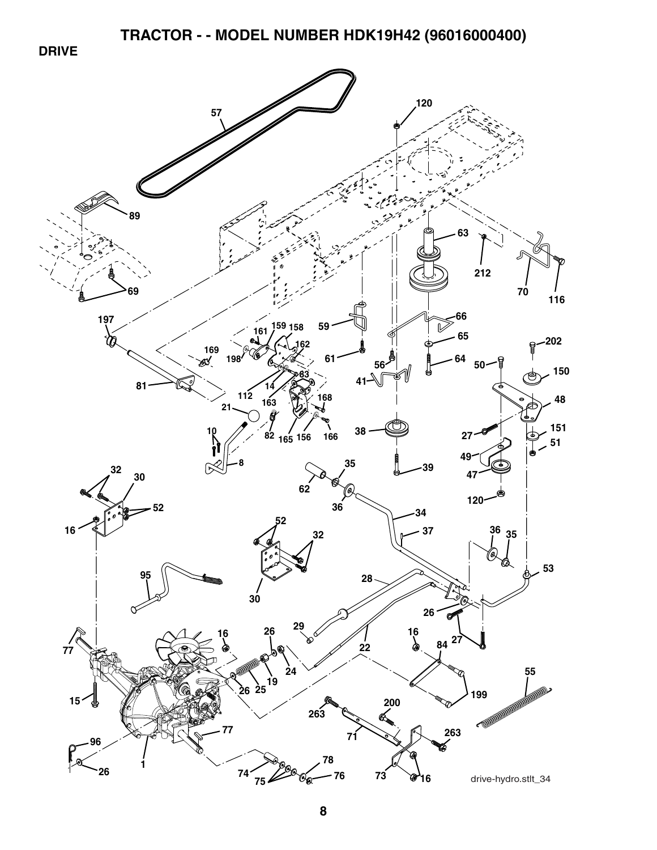**DRIVE** 

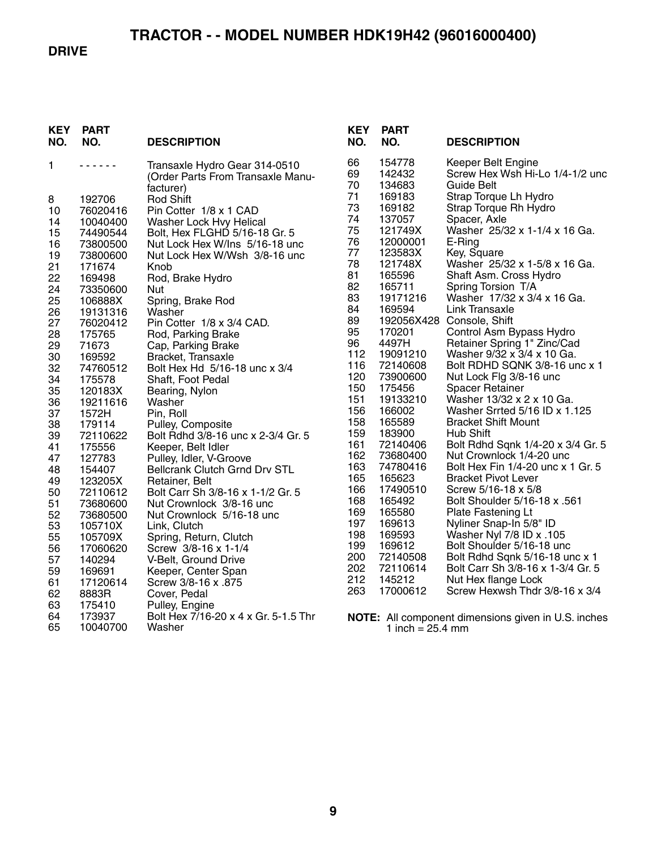#### **DRIVE**

| KEY<br>NO. | <b>PART</b><br>NO. | <b>DESCRIPTION</b>                                                              | <b>KEY</b><br>NO. | <b>PART</b><br>NO.         | <b>DESCRIPTION</b>                                                  |
|------------|--------------------|---------------------------------------------------------------------------------|-------------------|----------------------------|---------------------------------------------------------------------|
| 1          | .                  | Transaxle Hydro Gear 314-0510<br>(Order Parts From Transaxle Manu-<br>facturer) | 66<br>69<br>70    | 154778<br>142432<br>134683 | Keeper Belt Engine<br>Screw Hex Wsh Hi-Lo 1/4-1/2 unc<br>Guide Belt |
| 8          | 192706             | Rod Shift                                                                       | 71                | 169183                     | Strap Torque Lh Hydro                                               |
| 10         | 76020416           | Pin Cotter 1/8 x 1 CAD                                                          | 73                | 169182                     | Strap Torque Rh Hydro                                               |
| 14         | 10040400           | Washer Lock Hvy Helical                                                         | 74                | 137057                     | Spacer, Axle                                                        |
| 15         | 74490544           | Bolt, Hex FLGHD 5/16-18 Gr. 5                                                   | 75                | 121749X                    | Washer 25/32 x 1-1/4 x 16 Ga.                                       |
| 16         | 73800500           | Nut Lock Hex W/Ins 5/16-18 unc                                                  | 76                | 12000001                   | E-Ring                                                              |
| 19         | 73800600           | Nut Lock Hex W/Wsh 3/8-16 unc                                                   | 77                | 123583X                    | Key, Square                                                         |
| 21         | 171674             | Knob                                                                            | 78                | 121748X                    | Washer 25/32 x 1-5/8 x 16 Ga.                                       |
| 22         | 169498             | Rod, Brake Hydro                                                                | 81                | 165596                     | Shaft Asm. Cross Hydro                                              |
| 24         | 73350600           | <b>Nut</b>                                                                      | 82                | 165711                     | Spring Torsion T/A                                                  |
| 25         | 106888X            | Spring, Brake Rod                                                               | 83                | 19171216                   | Washer 17/32 x 3/4 x 16 Ga.                                         |
| 26         | 19131316           | Washer                                                                          | 84                | 169594                     | Link Transaxle                                                      |
| 27         | 76020412           | Pin Cotter 1/8 x 3/4 CAD.                                                       | 89                |                            | 192056X428 Console, Shift                                           |
| 28         | 175765             | Rod, Parking Brake                                                              | 95                | 170201                     | Control Asm Bypass Hydro                                            |
| 29         | 71673              | Cap, Parking Brake                                                              | 96                | 4497H                      | Retainer Spring 1" Zinc/Cad                                         |
| 30         | 169592             | Bracket, Transaxle                                                              | 112               | 19091210                   | Washer 9/32 x 3/4 x 10 Ga.                                          |
| 32         | 74760512           | Bolt Hex Hd 5/16-18 unc x 3/4                                                   | 116               | 72140608                   | Bolt RDHD SQNK 3/8-16 unc x 1                                       |
| 34         | 175578             | Shaft, Foot Pedal                                                               | 120               | 73900600                   | Nut Lock Flg 3/8-16 unc                                             |
| 35         | 120183X            | Bearing, Nylon                                                                  | 150               | 175456                     | <b>Spacer Retainer</b>                                              |
| 36         | 19211616           | Washer                                                                          | 151               | 19133210                   | Washer 13/32 x 2 x 10 Ga.                                           |
| 37         | 1572H              | Pin, Roll                                                                       | 156<br>158        | 166002                     | Washer Srrted 5/16 ID x 1.125                                       |
| 38         | 179114             | Pulley, Composite                                                               | 159               | 165589<br>183900           | <b>Bracket Shift Mount</b><br>Hub Shift                             |
| 39         | 72110622           | Bolt Rdhd 3/8-16 unc x 2-3/4 Gr. 5                                              | 161               | 72140406                   | Bolt Rdhd Sqnk 1/4-20 x 3/4 Gr. 5                                   |
| 41         | 175556             | Keeper, Belt Idler                                                              | 162               | 73680400                   | Nut Crownlock 1/4-20 unc                                            |
| 47         | 127783             | Pulley, Idler, V-Groove                                                         | 163               | 74780416                   | Bolt Hex Fin 1/4-20 unc x 1 Gr. 5                                   |
| 48         | 154407             | Bellcrank Clutch Grnd Drv STL                                                   | 165               | 165623                     | <b>Bracket Pivot Lever</b>                                          |
| 49         | 123205X            | Retainer, Belt                                                                  | 166               | 17490510                   | Screw 5/16-18 x 5/8                                                 |
| 50         | 72110612           | Bolt Carr Sh 3/8-16 x 1-1/2 Gr. 5                                               | 168               | 165492                     | Bolt Shoulder 5/16-18 x .561                                        |
| 51<br>52   | 73680600           | Nut Crownlock 3/8-16 unc                                                        | 169               | 165580                     | Plate Fastening Lt                                                  |
| 53         | 73680500           | Nut Crownlock 5/16-18 unc                                                       | 197               | 169613                     | Nyliner Snap-In 5/8" ID                                             |
| 55         | 105710X<br>105709X | Link, Clutch                                                                    | 198               | 169593                     | Washer Nyl 7/8 ID x .105                                            |
| 56         | 17060620           | Spring, Return, Clutch<br>Screw 3/8-16 x 1-1/4                                  | 199               | 169612                     | Bolt Shoulder 5/16-18 unc                                           |
| 57         | 140294             | V-Belt, Ground Drive                                                            | 200               | 72140508                   | Bolt Rdhd Sqnk 5/16-18 unc x 1                                      |
| 59         | 169691             | Keeper, Center Span                                                             | 202               | 72110614                   | Bolt Carr Sh 3/8-16 x 1-3/4 Gr. 5                                   |
| 61         | 17120614           | Screw 3/8-16 x .875                                                             | 212               | 145212                     | Nut Hex flange Lock                                                 |
| 62         | 8883R              | Cover, Pedal                                                                    | 263               | 17000612                   | Screw Hexwsh Thdr 3/8-16 x 3/4                                      |
| 63         | 175410             | Pulley, Engine                                                                  |                   |                            |                                                                     |
| 64         | 173937             | Bolt Hex 7/16-20 x 4 x Gr. 5-1.5 Thr                                            |                   |                            |                                                                     |
| 65         | 10040700           | Washer                                                                          |                   | 1 inch = $25.4$ mm         | <b>NOTE:</b> All component dimensions given in U.S. inches          |
|            |                    |                                                                                 |                   |                            |                                                                     |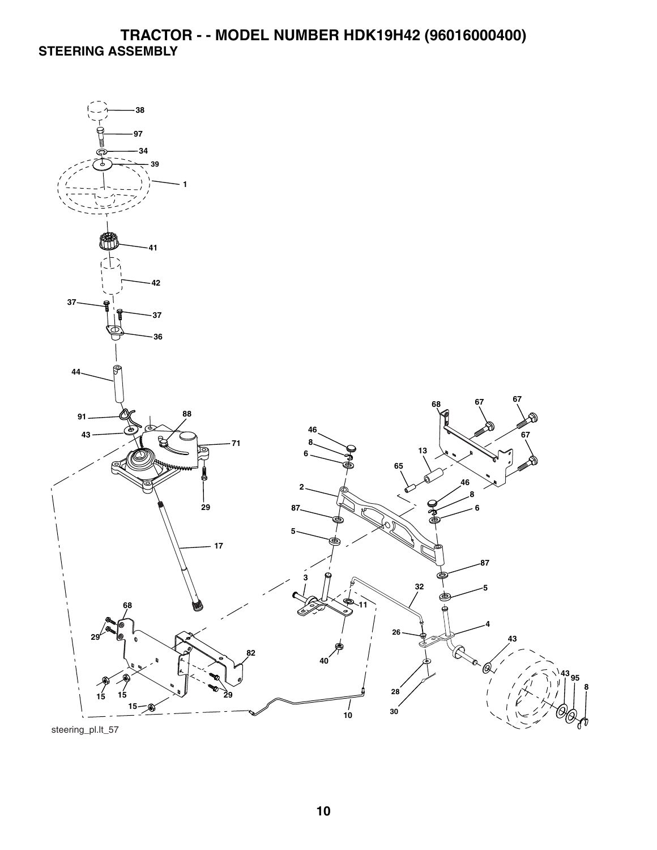# **TRACTOR - - MODEL NUMBER HDK19H42 (96016000400) STEERING ASSEMBLY**



steering\_pl.lt\_57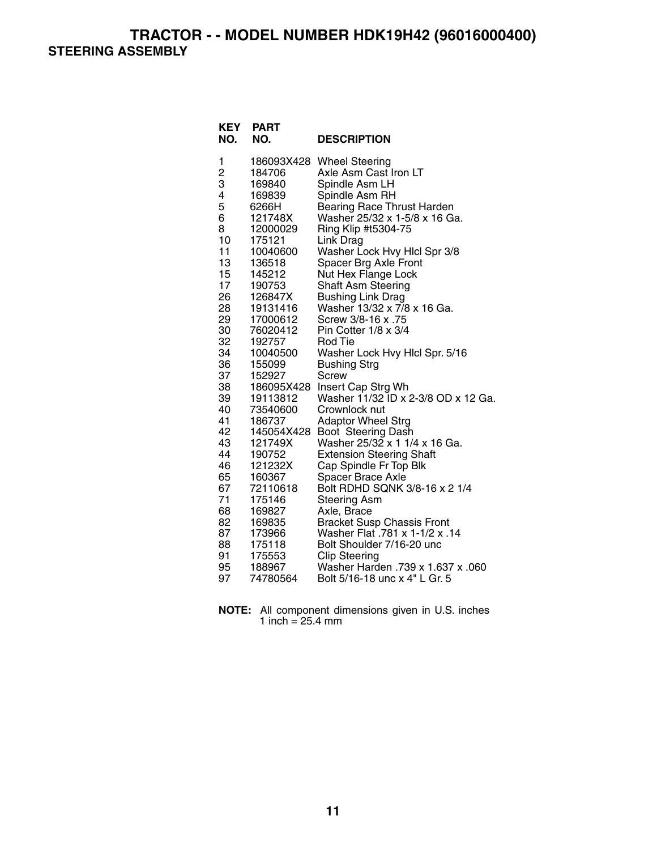**TRACTOR - - MODEL NUMBER HDK19H42 (96016000400) STEERING ASSEMBLY** 

| <b>KEY</b><br>NO. | <b>PART</b><br>NO. | <b>DESCRIPTION</b>                                    |
|-------------------|--------------------|-------------------------------------------------------|
| 1                 | 186093X428         | <b>Wheel Steering</b>                                 |
| $\overline{c}$    | 184706             | Axle Asm Cast Iron LT                                 |
| 3<br>4            | 169840             | Spindle Asm LH                                        |
| 5                 | 169839<br>6266H    | Spindle Asm RH<br><b>Bearing Race Thrust Harden</b>   |
| 6                 | 121748X            | Washer 25/32 x 1-5/8 x 16 Ga.                         |
| 8                 | 12000029           | Ring Klip #t5304-75                                   |
| 10                | 175121             | Link Drag                                             |
| 11                | 10040600           | Washer Lock Hvy Hlcl Spr 3/8                          |
| 13                | 136518             | Spacer Brg Axle Front                                 |
| 15                | 145212             | Nut Hex Flange Lock                                   |
| 17                | 190753             | <b>Shaft Asm Steering</b>                             |
| 26                | 126847X            | <b>Bushing Link Drag</b>                              |
| 28                | 19131416           | Washer 13/32 x 7/8 x 16 Ga.                           |
| 29                | 17000612           | Screw 3/8-16 x .75                                    |
| 30                | 76020412           | Pin Cotter 1/8 x 3/4                                  |
| 32<br>34          | 192757<br>10040500 | <b>Rod Tie</b>                                        |
| 36                | 155099             | Washer Lock Hvy Hlcl Spr. 5/16<br><b>Bushing Strg</b> |
| 37                | 152927             | Screw                                                 |
| 38                | 186095X428         | Insert Cap Strg Wh                                    |
| 39                | 19113812           | Washer 11/32 ID x 2-3/8 OD x 12 Ga.                   |
| 40                | 73540600           | Crownlock nut                                         |
| 41                | 186737             | <b>Adaptor Wheel Strg</b>                             |
| 42                | 145054X428         | Boot Steering Dash                                    |
| 43                | 121749X            | Washer 25/32 x 1 1/4 x 16 Ga.                         |
| 44                | 190752             | <b>Extension Steering Shaft</b>                       |
| 46                | 121232X            | Cap Spindle Fr Top Blk                                |
| 65<br>67          | 160367<br>72110618 | Spacer Brace Axle<br>Bolt RDHD SQNK 3/8-16 x 2 1/4    |
| 71                | 175146             | <b>Steering Asm</b>                                   |
| 68                | 169827             | Axle, Brace                                           |
| 82                | 169835             | <b>Bracket Susp Chassis Front</b>                     |
| 87                | 173966             | Washer Flat .781 x 1-1/2 x .14                        |
| 88                | 175118             | Bolt Shoulder 7/16-20 unc                             |
| 91                | 175553             | <b>Clip Steering</b>                                  |
| 95                | 188967             | 060. Washer Harden .739 x 1.637 x .060                |
| 97                | 74780564           | Bolt 5/16-18 unc x 4" L Gr. 5                         |

**NOTE:** All component dimensions given in U.S. inches 1 inch = 25.4 mm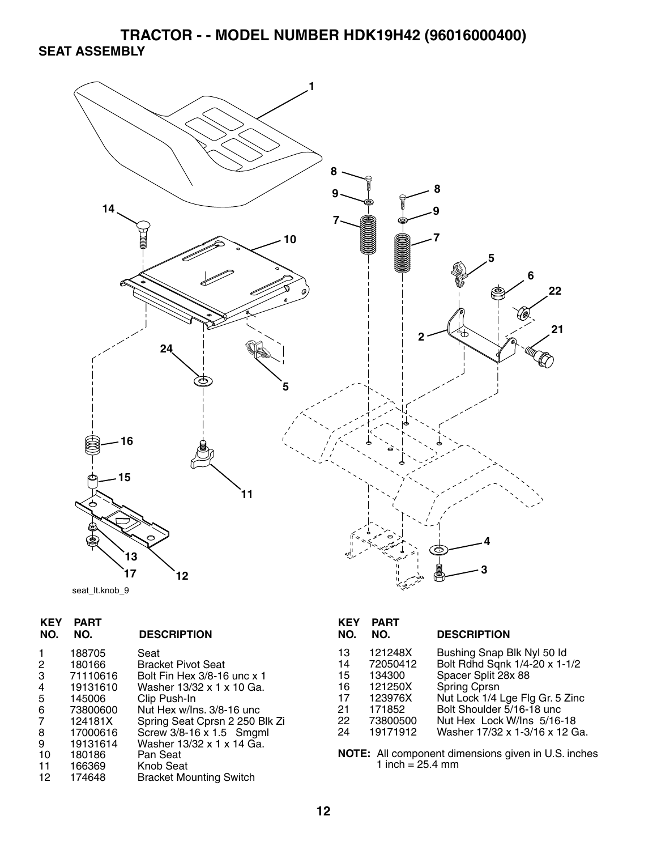# **TRACTOR - - MODEL NUMBER HDK19H42 (96016000400) SEAT ASSEMBLY**



|  | seat It.knob 9 |  |
|--|----------------|--|
|--|----------------|--|

| <b>KEY</b><br>NO. | <b>PART</b><br>NO. | <b>DESCRIPTION</b>             |
|-------------------|--------------------|--------------------------------|
|                   | 188705             | Seat                           |
| 2                 | 180166             | <b>Bracket Pivot Seat</b>      |
| 3                 | 71110616           | Bolt Fin Hex 3/8-16 unc x 1    |
| 4                 | 19131610           | Washer 13/32 x 1 x 10 Ga.      |
| 5                 | 145006             | Clip Push-In                   |
| 6                 | 73800600           | Nut Hex w/Ins, 3/8-16 unc      |
| 7                 | 124181X            | Spring Seat Cprsn 2 250 Blk Zi |
| 8                 | 17000616           | Screw 3/8-16 x 1.5 Smgml       |
| 9                 | 19131614           | Washer 13/32 x 1 x 14 Ga.      |
| 10                | 180186             | Pan Seat                       |
| 11                | 166369             | Knob Seat                      |
| 12                | 174648             | <b>Bracket Mounting Switch</b> |
|                   |                    |                                |

| KEY<br>NO.                                   | PART<br>NO.                                                               | <b>DESCRIPTION</b>                                                                                                                                                                               |
|----------------------------------------------|---------------------------------------------------------------------------|--------------------------------------------------------------------------------------------------------------------------------------------------------------------------------------------------|
| 13<br>14<br>15<br>16<br>17<br>21<br>22<br>24 | 121248X<br>72050412<br>134300<br>121250X<br>123976X<br>171852<br>73800500 | Bushing Snap Blk Nyl 50 ld<br>Bolt Rdhd Sqnk 1/4-20 x 1-1/2<br>Spacer Split 28x 88<br>Spring Cprsn<br>Nut Lock 1/4 Lge Flg Gr. 5 Zinc<br>Bolt Shoulder 5/16-18 unc<br>Nut Hex Lock W/Ins 5/16-18 |
|                                              | 19171912                                                                  | Washer 17/32 x 1-3/16 x 12 Ga.                                                                                                                                                                   |

**NOTE:** All component dimensions given in U.S. inches 1 inch = 25.4 mm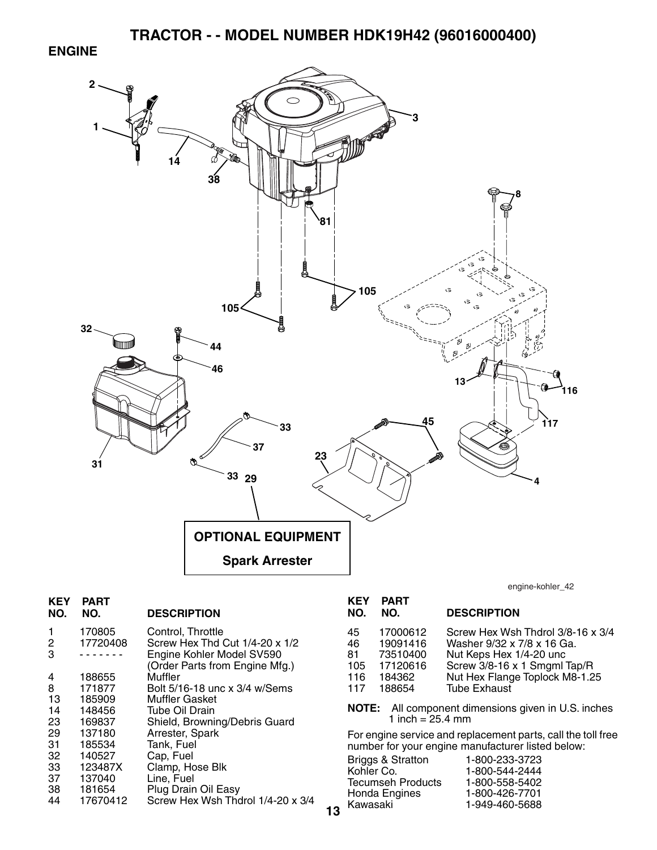#### **ENGINE**



| <b>KEY</b><br>NO. | PART<br>NO. | <b>DESCRIPTION</b>                                          |    |
|-------------------|-------------|-------------------------------------------------------------|----|
| 1                 | 170805      | Control, Throttle                                           |    |
| 2                 | 17720408    | Screw Hex Thd Cut 1/4-20 x 1/2                              |    |
| 3                 |             | Engine Kohler Model SV590<br>(Order Parts from Engine Mfg.) |    |
| 4                 | 188655      | Muffler                                                     |    |
| 8                 | 171877      | Bolt 5/16-18 unc x 3/4 w/Sems                               |    |
| 13                | 185909      | <b>Muffler Gasket</b>                                       |    |
| 14                | 148456      | Tube Oil Drain                                              |    |
| 23                | 169837      | Shield, Browning/Debris Guard                               |    |
| 29                | 137180      | Arrester, Spark                                             |    |
| 31                | 185534      | Tank, Fuel                                                  |    |
| 32                | 140527      | Cap, Fuel                                                   |    |
| 33                | 123487X     | Clamp, Hose Blk                                             |    |
| 37                | 137040      | Line, Fuel                                                  |    |
| 38                | 181654      | Plug Drain Oil Easy                                         |    |
| 44                | 17670412    | Screw Hex Wsh Thdrol 1/4-20 x 3/4                           |    |
|                   |             |                                                             | 13 |

engine-kohler\_42

| NO.                                 | NO.                                                              | <b>DESCRIPTION</b>                                                                                                                                                                  |
|-------------------------------------|------------------------------------------------------------------|-------------------------------------------------------------------------------------------------------------------------------------------------------------------------------------|
| 45<br>46<br>81<br>105<br>116<br>117 | 17000612<br>19091416<br>73510400<br>17120616<br>184362<br>188654 | Screw Hex Wsh Thdrol 3/8-16 x 3/4<br>Washer 9/32 x 7/8 x 16 Ga.<br>Nut Keps Hex 1/4-20 unc<br>Screw 3/8-16 x 1 Smgml Tap/R<br>Nut Hex Flange Toplock M8-1.25<br><b>Tube Exhaust</b> |
|                                     |                                                                  |                                                                                                                                                                                     |

**NOTE:** All component dimensions given in U.S. inches 1 inch = 25.4 mm

For engine service and replacement parts, call the toll free number for your engine manufacturer listed below:

| <b>Briggs &amp; Stratton</b> | 1-800-233-3723 |
|------------------------------|----------------|
| Kohler Co.                   | 1-800-544-2444 |
| <b>Tecumseh Products</b>     | 1-800-558-5402 |
| Honda Engines                | 1-800-426-7701 |
| Kawasaki                     | 1-949-460-5688 |
|                              |                |

**KEY PART**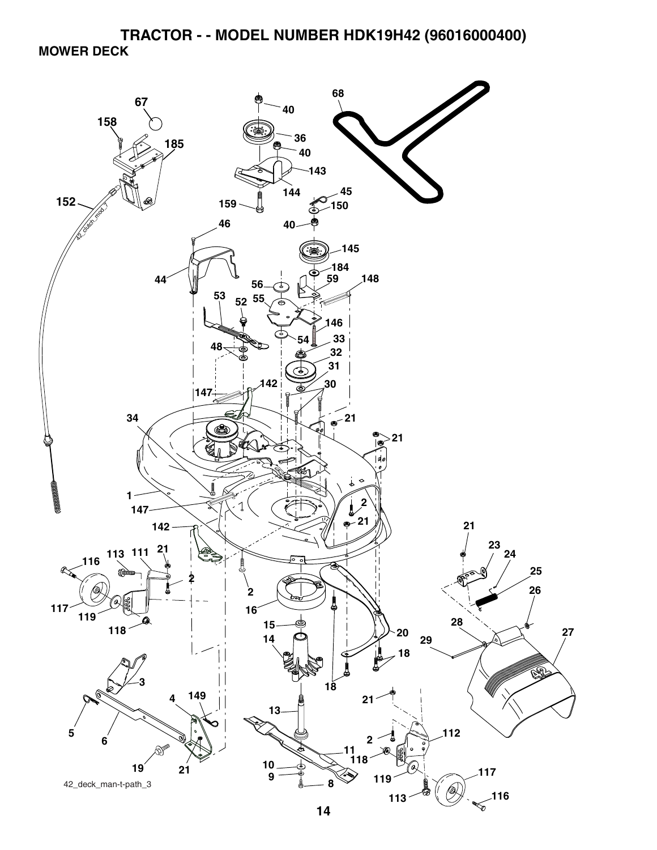**TRACTOR - - MODEL NUMBER HDK19H42 (96016000400) MOWER DECK** 

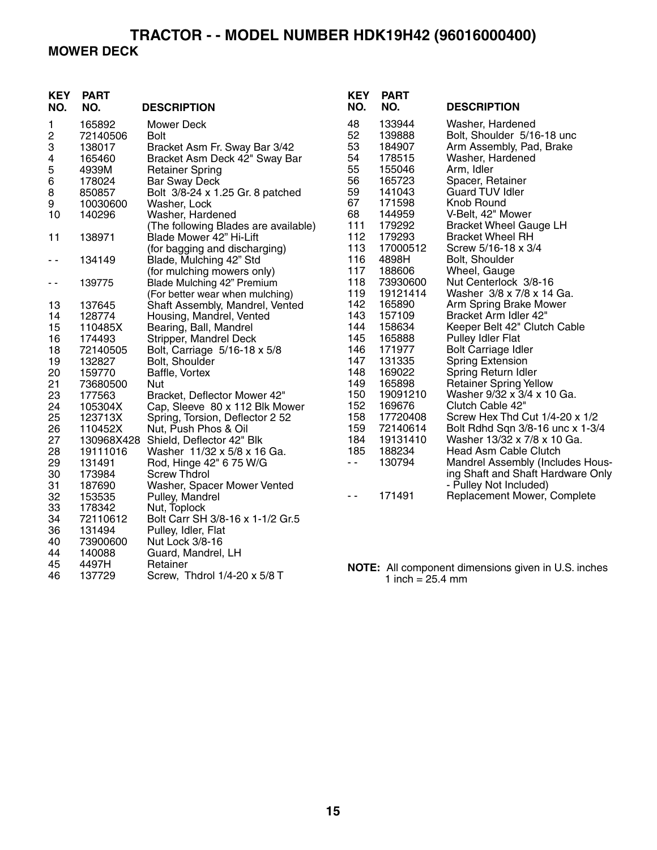### **TRACTOR - - MODEL NUMBER HDK19H42 (96016000400) MOWER DECK**

| <b>KEY</b><br>NO. | <b>PART</b><br>NO. | <b>DESCRIPTION</b>                                                                                                                                                                                                                                                                                                                             | <b>KEY</b><br>NO. | <b>PART</b><br>NO. | <b>DESCRIPTION</b>                                         |
|-------------------|--------------------|------------------------------------------------------------------------------------------------------------------------------------------------------------------------------------------------------------------------------------------------------------------------------------------------------------------------------------------------|-------------------|--------------------|------------------------------------------------------------|
| 1                 | 165892             | <b>Mower Deck</b>                                                                                                                                                                                                                                                                                                                              | 48                | 133944             | Washer, Hardened                                           |
| 2                 | 72140506           | <b>Bolt</b>                                                                                                                                                                                                                                                                                                                                    | 52                | 139888             | Bolt, Shoulder 5/16-18 unc                                 |
| 3                 | 138017             | Bracket Asm Fr. Sway Bar 3/42                                                                                                                                                                                                                                                                                                                  | 53                | 184907             | Arm Assembly, Pad, Brake                                   |
| 4                 | 165460             | Bracket Asm Deck 42" Sway Bar                                                                                                                                                                                                                                                                                                                  | 54                | 178515             | Washer, Hardened                                           |
| 5                 | 4939M              | <b>Retainer Spring</b>                                                                                                                                                                                                                                                                                                                         | 55                | 155046             | Arm, Idler                                                 |
| 6                 | 178024             | <b>Bar Sway Deck</b>                                                                                                                                                                                                                                                                                                                           | 56                | 165723             | Spacer, Retainer                                           |
| 8                 | 850857             | Bolt 3/8-24 x 1.25 Gr. 8 patched                                                                                                                                                                                                                                                                                                               | 59                | 141043             | <b>Guard TUV Idler</b>                                     |
| 9                 | 10030600           | Washer, Lock                                                                                                                                                                                                                                                                                                                                   | 67                | 171598             | Knob Round                                                 |
| 10                | 140296             | Washer, Hardened                                                                                                                                                                                                                                                                                                                               | 68                | 144959             | V-Belt, 42" Mower                                          |
|                   |                    | (The following Blades are available)                                                                                                                                                                                                                                                                                                           | 111               | 179292             | <b>Bracket Wheel Gauge LH</b>                              |
| 11                | 138971             | Blade Mower 42" Hi-Lift                                                                                                                                                                                                                                                                                                                        | 112               | 179293             | <b>Bracket Wheel RH</b>                                    |
|                   |                    | (for bagging and discharging)                                                                                                                                                                                                                                                                                                                  | 113               | 17000512           | Screw 5/16-18 x 3/4                                        |
| $ -$              | 134149             | Blade, Mulching 42" Std                                                                                                                                                                                                                                                                                                                        | 116               | 4898H              | Bolt, Shoulder                                             |
|                   |                    | (for mulching mowers only)                                                                                                                                                                                                                                                                                                                     | 117               | 188606             | Wheel, Gauge                                               |
| $\sim$ $-$        | 139775             | Blade Mulching 42" Premium                                                                                                                                                                                                                                                                                                                     | 118               | 73930600           | Nut Centerlock 3/8-16                                      |
|                   |                    | (For better wear when mulching)                                                                                                                                                                                                                                                                                                                | 119               | 19121414           | Washer 3/8 x 7/8 x 14 Ga.                                  |
| 13                | 137645             | Shaft Assembly, Mandrel, Vented                                                                                                                                                                                                                                                                                                                | 142               | 165890             | Arm Spring Brake Mower                                     |
| 14                | 128774             | Housing, Mandrel, Vented                                                                                                                                                                                                                                                                                                                       | 143               | 157109             | Bracket Arm Idler 42"                                      |
| 15                | 110485X            | Bearing, Ball, Mandrel                                                                                                                                                                                                                                                                                                                         | 144               | 158634             | Keeper Belt 42" Clutch Cable                               |
| 16                | 174493             | Stripper, Mandrel Deck                                                                                                                                                                                                                                                                                                                         | 145               | 165888             | Pulley Idler Flat                                          |
| 18                | 72140505           | Bolt, Carriage 5/16-18 x 5/8                                                                                                                                                                                                                                                                                                                   | 146               | 171977             | <b>Bolt Carriage Idler</b>                                 |
| 19                | 132827             | Bolt, Shoulder                                                                                                                                                                                                                                                                                                                                 | 147               | 131335             | <b>Spring Extension</b>                                    |
| 20                | 159770             | Baffle, Vortex                                                                                                                                                                                                                                                                                                                                 | 148               | 169022             | Spring Return Idler                                        |
| 21                | 73680500           | Nut                                                                                                                                                                                                                                                                                                                                            | 149               | 165898             | <b>Retainer Spring Yellow</b>                              |
| 23                | 177563             | Bracket, Deflector Mower 42"                                                                                                                                                                                                                                                                                                                   | 150               | 19091210           | Washer 9/32 x 3/4 x 10 Ga.                                 |
| 24                | 105304X            | Cap, Sleeve 80 x 112 Blk Mower                                                                                                                                                                                                                                                                                                                 | 152               | 169676             | Clutch Cable 42"                                           |
| 25                | 123713X            | Spring, Torsion, Deflector 2 52                                                                                                                                                                                                                                                                                                                | 158               | 17720408           | Screw Hex Thd Cut 1/4-20 x 1/2                             |
| 26                | 110452X            | Nut, Push Phos & Oil                                                                                                                                                                                                                                                                                                                           | 159               | 72140614           | Bolt Rdhd Sqn 3/8-16 unc x 1-3/4                           |
| 27                |                    | 130968X428 Shield, Deflector 42" Blk                                                                                                                                                                                                                                                                                                           | 184               | 19131410           | Washer 13/32 x 7/8 x 10 Ga.                                |
| 28                | 19111016           | Washer 11/32 x 5/8 x 16 Ga.                                                                                                                                                                                                                                                                                                                    | 185               | 188234             | <b>Head Asm Cable Clutch</b>                               |
| 29                | 131491             | Rod, Hinge 42" 6 75 W/G                                                                                                                                                                                                                                                                                                                        | 44                | 130794             | Mandrel Assembly (Includes Hous-                           |
| 30                | 173984             | <b>Screw Thdrol</b>                                                                                                                                                                                                                                                                                                                            |                   |                    | ing Shaft and Shaft Hardware Only                          |
| 31                | 187690             | Washer, Spacer Mower Vented                                                                                                                                                                                                                                                                                                                    |                   |                    | - Pulley Not Included)                                     |
| 32                | 153535             | Pulley, Mandrel                                                                                                                                                                                                                                                                                                                                | $\sim$ $\sim$     | 171491             | Replacement Mower, Complete                                |
| 33                | 178342             | Nut, Toplock                                                                                                                                                                                                                                                                                                                                   |                   |                    |                                                            |
| 34                | 72110612           | Bolt Carr SH 3/8-16 x 1-1/2 Gr.5                                                                                                                                                                                                                                                                                                               |                   |                    |                                                            |
| 36                | 131494             | Pulley, Idler, Flat                                                                                                                                                                                                                                                                                                                            |                   |                    |                                                            |
| 40                | 73900600           | Nut Lock 3/8-16                                                                                                                                                                                                                                                                                                                                |                   |                    |                                                            |
| 44                | 140088             | Guard, Mandrel, LH                                                                                                                                                                                                                                                                                                                             |                   |                    |                                                            |
| 45                | 4497H              | Retainer<br>$\mathbf{r}$ $\mathbf{r}$ $\mathbf{r}$ $\mathbf{r}$ $\mathbf{r}$ $\mathbf{r}$ $\mathbf{r}$ $\mathbf{r}$ $\mathbf{r}$ $\mathbf{r}$ $\mathbf{r}$ $\mathbf{r}$ $\mathbf{r}$ $\mathbf{r}$ $\mathbf{r}$ $\mathbf{r}$ $\mathbf{r}$ $\mathbf{r}$ $\mathbf{r}$ $\mathbf{r}$ $\mathbf{r}$ $\mathbf{r}$ $\mathbf{r}$ $\mathbf{r}$ $\mathbf{$ |                   |                    | <b>NOTE:</b> All component dimensions given in U.S. inches |

46 137729 Screw, Thdrol 1/4-20 x 5/8 T

1 inch = 25.4 mm